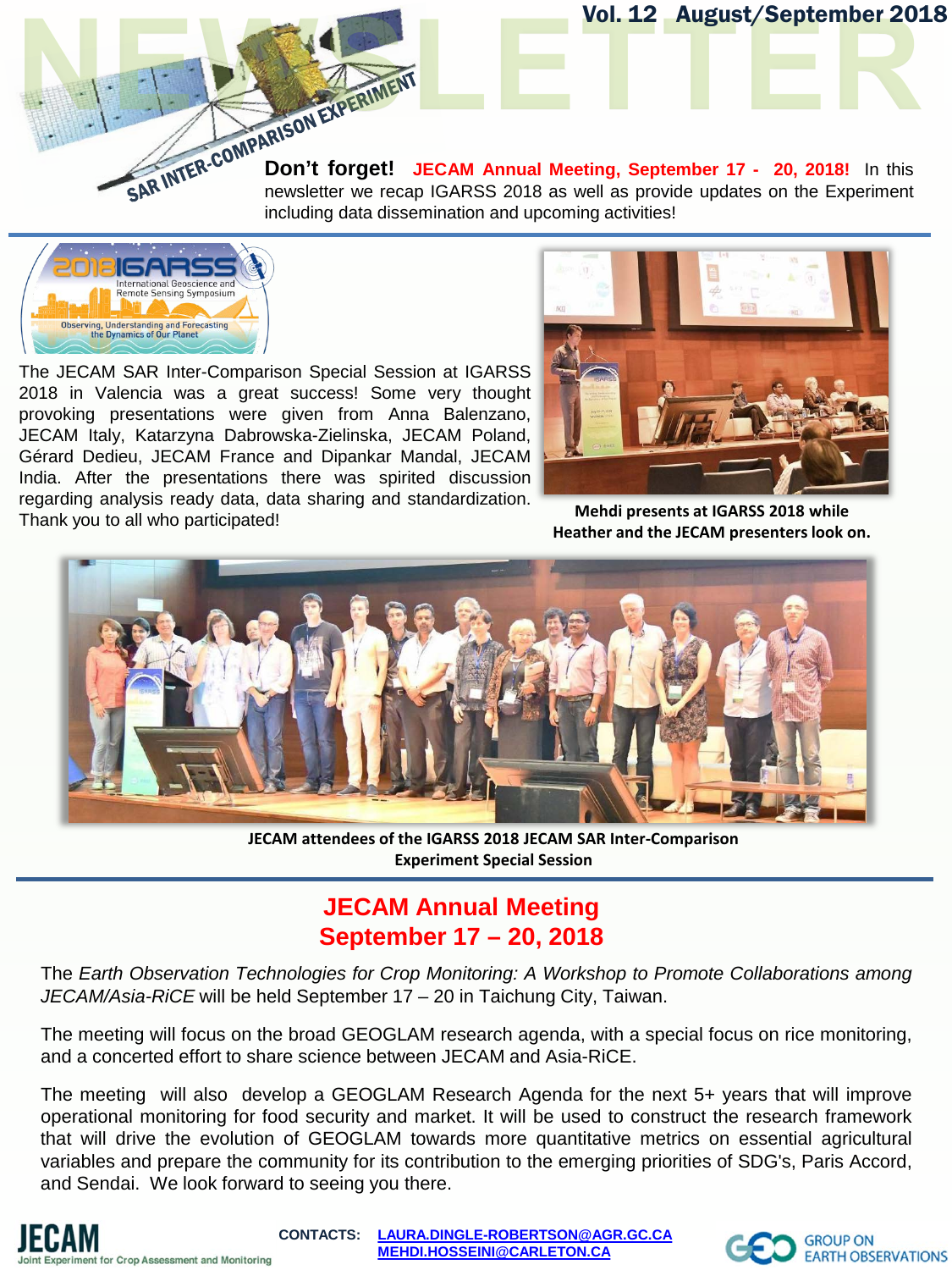

**Don't forget! JECAM Annual Meeting, September 17 - 20, 2018! In this newsletter we recap IGARSS 2018 as well as provide** newsletter we recap IGARSS 2018 as well as provide updates on the Experiment including data dissemination and upcoming activities!



The JECAM SAR Inter-Comparison Special Session at IGARSS 2018 in Valencia was a great success! Some very thought provoking presentations were given from Anna Balenzano, JECAM Italy, Katarzyna Dabrowska-Zielinska, JECAM Poland, Gérard Dedieu, JECAM France and Dipankar Mandal, JECAM India. After the presentations there was spirited discussion regarding analysis ready data, data sharing and standardization. Thank you to all who participated!



Vol. 12 August/September 2018

**Mehdi presents at IGARSS 2018 while Heather and the JECAM presenters look on.**



**JECAM attendees of the IGARSS 2018 JECAM SAR Inter-Comparison Experiment Special Session**

## **JECAM Annual Meeting September 17 – 20, 2018**

The *Earth Observation Technologies for Crop Monitoring: A Workshop to Promote Collaborations among JECAM/Asia-RiCE* will be held September 17 – 20 in Taichung City, Taiwan.

The meeting will focus on the broad GEOGLAM research agenda, with a special focus on rice monitoring, and a concerted effort to share science between JECAM and Asia-RiCE.

The meeting will also develop a GEOGLAM Research Agenda for the next 5+ years that will improve operational monitoring for food security and market. It will be used to construct the research framework that will drive the evolution of GEOGLAM towards more quantitative metrics on essential agricultural variables and prepare the community for its contribution to the emerging priorities of SDG's, Paris Accord, and Sendai. We look forward to seeing you there.



**CONTACTS: [LAURA.DINGLE-ROBERTSON@AGR.GC.CA](mailto:LAURA.DINGLE-ROBERTSON@AGR.GC.CA) [MEHDI.HOSSEINI@CARLETON.CA](mailto:MEHDI.HOSSEINI@CARLETON.CA)**